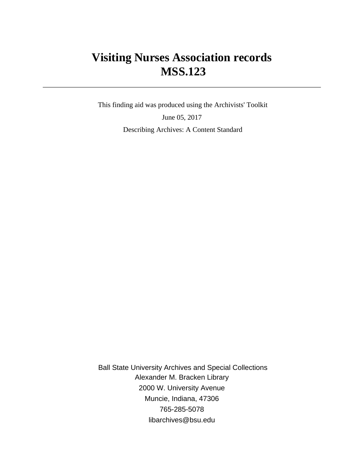# **Visiting Nurses Association records MSS.123**

 This finding aid was produced using the Archivists' Toolkit June 05, 2017 Describing Archives: A Content Standard

 Ball State University Archives and Special Collections Alexander M. Bracken Library 2000 W. University Avenue Muncie, Indiana, 47306 765-285-5078 libarchives@bsu.edu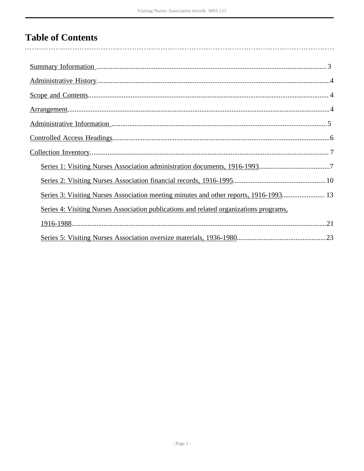# **Table of Contents**

| Series 3: Visiting Nurses Association meeting minutes and other reports, 1916-1993 13  |  |
|----------------------------------------------------------------------------------------|--|
| Series 4: Visiting Nurses Association publications and related organizations programs, |  |
|                                                                                        |  |
|                                                                                        |  |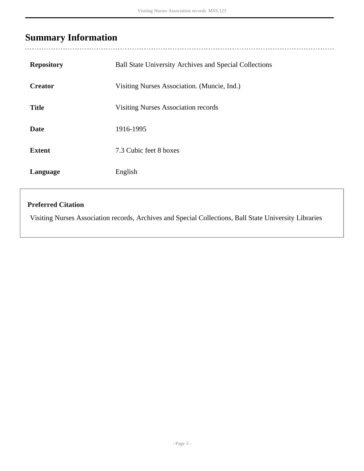# <span id="page-2-0"></span>**Summary Information**

| <b>Repository</b> | <b>Ball State University Archives and Special Collections</b> |
|-------------------|---------------------------------------------------------------|
| <b>Creator</b>    | Visiting Nurses Association. (Muncie, Ind.)                   |
| <b>Title</b>      | <b>Visiting Nurses Association records</b>                    |
| <b>Date</b>       | 1916-1995                                                     |
| <b>Extent</b>     | 7.3 Cubic feet 8 boxes                                        |
| Language          | English                                                       |

### **Preferred Citation**

Visiting Nurses Association records, Archives and Special Collections, Ball State University Libraries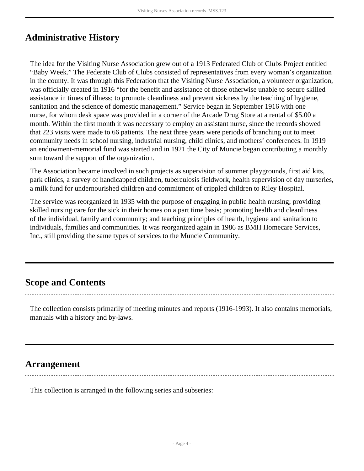## <span id="page-3-0"></span>**Administrative History**

The idea for the Visiting Nurse Association grew out of a 1913 Federated Club of Clubs Project entitled "Baby Week." The Federate Club of Clubs consisted of representatives from every woman's organization in the county. It was through this Federation that the Visiting Nurse Association, a volunteer organization, was officially created in 1916 "for the benefit and assistance of those otherwise unable to secure skilled assistance in times of illness; to promote cleanliness and prevent sickness by the teaching of hygiene, sanitation and the science of domestic management." Service began in September 1916 with one nurse, for whom desk space was provided in a corner of the Arcade Drug Store at a rental of \$5.00 a month. Within the first month it was necessary to employ an assistant nurse, since the records showed that 223 visits were made to 66 patients. The next three years were periods of branching out to meet community needs in school nursing, industrial nursing, child clinics, and mothers' conferences. In 1919 an endowment-memorial fund was started and in 1921 the City of Muncie began contributing a monthly sum toward the support of the organization.

The Association became involved in such projects as supervision of summer playgrounds, first aid kits, park clinics, a survey of handicapped children, tuberculosis fieldwork, health supervision of day nurseries, a milk fund for undernourished children and commitment of crippled children to Riley Hospital.

The service was reorganized in 1935 with the purpose of engaging in public health nursing; providing skilled nursing care for the sick in their homes on a part time basis; promoting health and cleanliness of the individual, family and community; and teaching principles of health, hygiene and sanitation to individuals, families and communities. It was reorganized again in 1986 as BMH Homecare Services, Inc., still providing the same types of services to the Muncie Community.

## <span id="page-3-1"></span>**Scope and Contents**

The collection consists primarily of meeting minutes and reports (1916-1993). It also contains memorials, manuals with a history and by-laws.

### <span id="page-3-2"></span>**Arrangement**

This collection is arranged in the following series and subseries: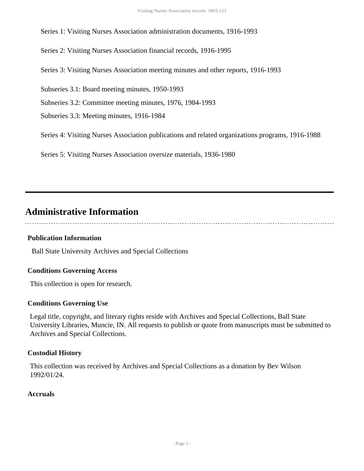Series 2: Visiting Nurses Association financial records, 1916-1995

Series 3: Visiting Nurses Association meeting minutes and other reports, 1916-1993

Subseries 3.1: Board meeting minutes, 1950-1993

Subseries 3.2: Committee meeting minutes, 1976, 1984-1993

Subseries 3.3: Meeting minutes, 1916-1984

Series 4: Visiting Nurses Association publications and related organizations programs, 1916-1988

Series 5: Visiting Nurses Association oversize materials, 1936-1980

## <span id="page-4-0"></span>**Administrative Information**

### **Publication Information**

Ball State University Archives and Special Collections

### **Conditions Governing Access**

This collection is open for research.

### **Conditions Governing Use**

Legal title, copyright, and literary rights reside with Archives and Special Collections, Ball State University Libraries, Muncie, IN. All requests to publish or quote from manuscripts must be submitted to Archives and Special Collections.

### **Custodial History**

This collection was received by Archives and Special Collections as a donation by Bev Wilson 1992/01/24.

### **Accruals**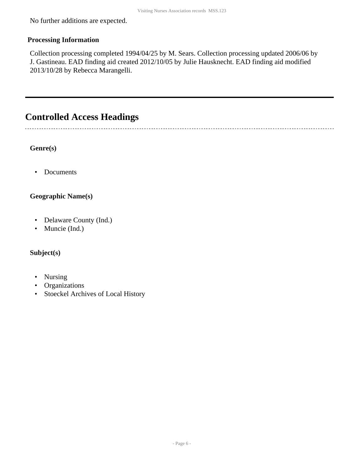No further additions are expected.

### **Processing Information**

Collection processing completed 1994/04/25 by M. Sears. Collection processing updated 2006/06 by J. Gastineau. EAD finding aid created 2012/10/05 by Julie Hausknecht. EAD finding aid modified 2013/10/28 by Rebecca Marangelli.

## <span id="page-5-0"></span>**Controlled Access Headings**

**Genre(s)**

......................

• Documents

### **Geographic Name(s)**

- Delaware County (Ind.)
- Muncie (Ind.)

### **Subject(s)**

- Nursing
- Organizations
- Stoeckel Archives of Local History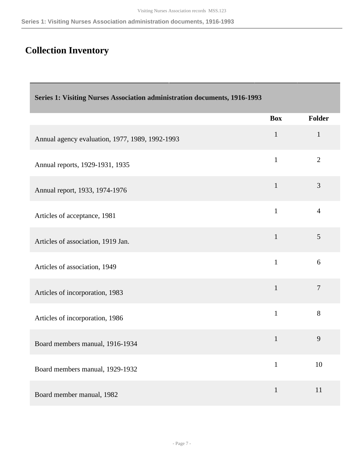## <span id="page-6-0"></span>**Collection Inventory**

<span id="page-6-1"></span>

| Series 1: Visiting Nurses Association administration documents, 1916-1993 |              |                |
|---------------------------------------------------------------------------|--------------|----------------|
|                                                                           | <b>Box</b>   | <b>Folder</b>  |
| Annual agency evaluation, 1977, 1989, 1992-1993                           | $\mathbf{1}$ | $\mathbf{1}$   |
| Annual reports, 1929-1931, 1935                                           | $\mathbf{1}$ | $\overline{2}$ |
| Annual report, 1933, 1974-1976                                            | $\mathbf{1}$ | 3              |
| Articles of acceptance, 1981                                              | $\mathbf{1}$ | $\overline{4}$ |
| Articles of association, 1919 Jan.                                        | $\mathbf{1}$ | 5              |
| Articles of association, 1949                                             | $\mathbf{1}$ | 6              |
| Articles of incorporation, 1983                                           | $\mathbf{1}$ | $\overline{7}$ |
| Articles of incorporation, 1986                                           | $\mathbf{1}$ | 8              |
| Board members manual, 1916-1934                                           | $\mathbf{1}$ | 9              |
| Board members manual, 1929-1932                                           | $\mathbf{1}$ | 10             |
| Board member manual, 1982                                                 | $\mathbf{1}$ | 11             |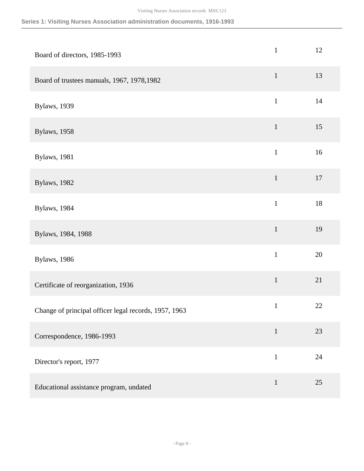| Board of directors, 1985-1993                         | $\mathbf{1}$ | 12     |
|-------------------------------------------------------|--------------|--------|
| Board of trustees manuals, 1967, 1978, 1982           | $\mathbf{1}$ | 13     |
| Bylaws, 1939                                          | $\mathbf{1}$ | 14     |
| <b>Bylaws</b> , 1958                                  | $\mathbf{1}$ | 15     |
| <b>Bylaws</b> , 1981                                  | $\mathbf{1}$ | 16     |
| <b>Bylaws</b> , 1982                                  | $\mathbf 1$  | 17     |
| <b>Bylaws</b> , 1984                                  | $\mathbf{1}$ | $18\,$ |
| Bylaws, 1984, 1988                                    | $\mathbf 1$  | 19     |
| Bylaws, 1986                                          | $\mathbf{1}$ | 20     |
| Certificate of reorganization, 1936                   | $\mathbf 1$  | 21     |
| Change of principal officer legal records, 1957, 1963 | $\mathbf{1}$ | 22     |
| Correspondence, 1986-1993                             | $\mathbf 1$  | 23     |
| Director's report, 1977                               | $\mathbf{1}$ | 24     |
| Educational assistance program, undated               | $\mathbf{1}$ | 25     |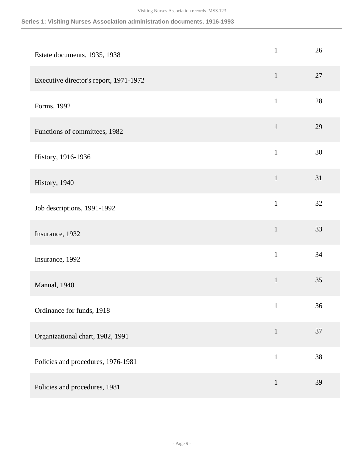| Estate documents, 1935, 1938           | $\mathbf{1}$ | 26 |
|----------------------------------------|--------------|----|
| Executive director's report, 1971-1972 | $\mathbf{1}$ | 27 |
| Forms, 1992                            | $\mathbf{1}$ | 28 |
| Functions of committees, 1982          | $\mathbf{1}$ | 29 |
| History, 1916-1936                     | $\mathbf{1}$ | 30 |
| History, 1940                          | $\mathbf{1}$ | 31 |
| Job descriptions, 1991-1992            | $\mathbf{1}$ | 32 |
| Insurance, 1932                        | $\mathbf 1$  | 33 |
| Insurance, 1992                        | $\mathbf{1}$ | 34 |
| Manual, 1940                           | $\mathbf{1}$ | 35 |
| Ordinance for funds, 1918              | $\mathbf{1}$ | 36 |
| Organizational chart, 1982, 1991       | $\mathbf{1}$ | 37 |
| Policies and procedures, 1976-1981     | $\mathbf{1}$ | 38 |
| Policies and procedures, 1981          | $\mathbf{1}$ | 39 |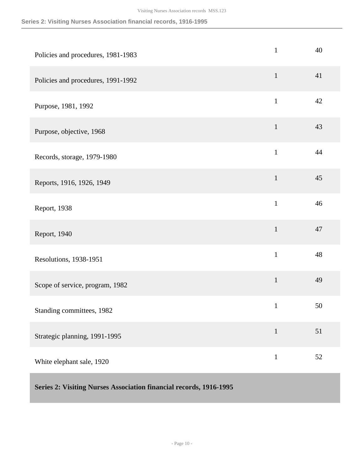### **Series 2: Visiting Nurses Association financial records, 1916-1995**

<span id="page-9-0"></span>

| Policies and procedures, 1981-1983                                 | $\mathbf{1}$ | 40 |
|--------------------------------------------------------------------|--------------|----|
| Policies and procedures, 1991-1992                                 | $\mathbf{1}$ | 41 |
| Purpose, 1981, 1992                                                | $\mathbf{1}$ | 42 |
| Purpose, objective, 1968                                           | $\mathbf{1}$ | 43 |
| Records, storage, 1979-1980                                        | $\mathbf{1}$ | 44 |
| Reports, 1916, 1926, 1949                                          | $\mathbf{1}$ | 45 |
| Report, 1938                                                       | $\mathbf{1}$ | 46 |
| Report, 1940                                                       | $\mathbf{1}$ | 47 |
| Resolutions, 1938-1951                                             | $\mathbf{1}$ | 48 |
| Scope of service, program, 1982                                    | $\mathbf{1}$ | 49 |
| Standing committees, 1982                                          | $\mathbf{1}$ | 50 |
| Strategic planning, 1991-1995                                      | $\mathbf{1}$ | 51 |
| White elephant sale, 1920                                          | $\mathbf{1}$ | 52 |
| Series 2: Visiting Nurses Association financial records, 1916-1995 |              |    |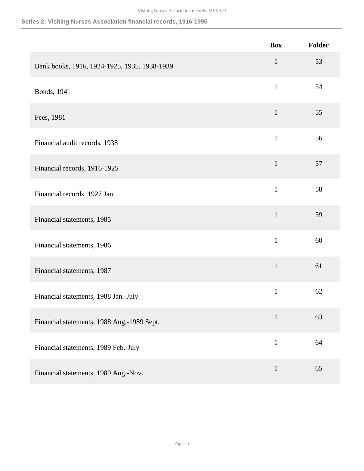### **Series 2: Visiting Nurses Association financial records, 1916-1995**

|                                              | <b>Box</b>   | Folder |
|----------------------------------------------|--------------|--------|
| Bank books, 1916, 1924-1925, 1935, 1938-1939 | $\mathbf 1$  | 53     |
| Bonds, 1941                                  | $\mathbf{1}$ | 54     |
| Fees, 1981                                   | $\mathbf{1}$ | 55     |
| Financial audit records, 1938                | $\mathbf{1}$ | 56     |
| Financial records, 1916-1925                 | $\mathbf{1}$ | 57     |
| Financial records, 1927 Jan.                 | $\mathbf{1}$ | 58     |
| Financial statements, 1985                   | $\mathbf{1}$ | 59     |
| Financial statements, 1986                   | $\mathbf{1}$ | 60     |
| Financial statements, 1987                   | $\mathbf{1}$ | 61     |
| Financial statements, 1988 Jan.-July         | $\mathbf{1}$ | 62     |
| Financial statements, 1988 Aug.-1989 Sept.   | $\mathbf{1}$ | 63     |
| Financial statements, 1989 Feb.-July         | $\mathbf{1}$ | 64     |
| Financial statements, 1989 Aug.-Nov.         | $\mathbf{1}$ | 65     |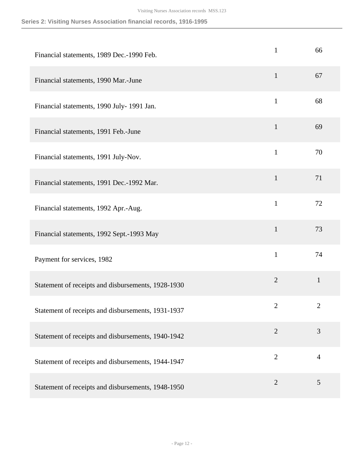### **Series 2: Visiting Nurses Association financial records, 1916-1995**

| Financial statements, 1989 Dec.-1990 Feb.          | $\mathbf{1}$   | 66             |
|----------------------------------------------------|----------------|----------------|
| Financial statements, 1990 Mar.-June               | $\mathbf{1}$   | 67             |
| Financial statements, 1990 July- 1991 Jan.         | $\mathbf{1}$   | 68             |
| Financial statements, 1991 Feb.-June               | $\mathbf{1}$   | 69             |
| Financial statements, 1991 July-Nov.               | $\mathbf{1}$   | 70             |
| Financial statements, 1991 Dec.-1992 Mar.          | $\mathbf{1}$   | 71             |
| Financial statements, 1992 Apr.-Aug.               | $\mathbf{1}$   | 72             |
| Financial statements, 1992 Sept.-1993 May          | $\mathbf{1}$   | 73             |
| Payment for services, 1982                         | $\mathbf{1}$   | 74             |
| Statement of receipts and disbursements, 1928-1930 | $\overline{2}$ | $\mathbf{1}$   |
| Statement of receipts and disbursements, 1931-1937 | $\mathbf{2}$   | $\overline{2}$ |
| Statement of receipts and disbursements, 1940-1942 | $\overline{2}$ | 3              |
| Statement of receipts and disbursements, 1944-1947 | $\overline{2}$ | $\overline{4}$ |
| Statement of receipts and disbursements, 1948-1950 | $\overline{2}$ | 5              |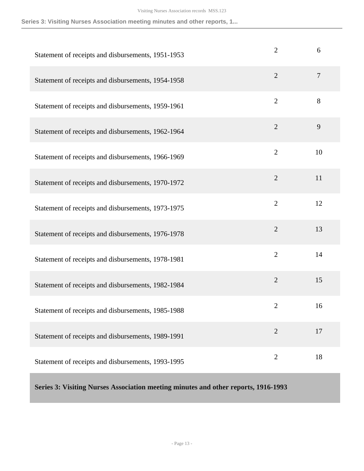### **Series 3: Visiting Nurses Association meeting minutes and other reports, 1...**

| Statement of receipts and disbursements, 1951-1953 | $\overline{2}$ | 6              |
|----------------------------------------------------|----------------|----------------|
| Statement of receipts and disbursements, 1954-1958 | $\overline{2}$ | $\overline{7}$ |
| Statement of receipts and disbursements, 1959-1961 | $\overline{2}$ | 8              |
| Statement of receipts and disbursements, 1962-1964 | $\overline{2}$ | 9              |
| Statement of receipts and disbursements, 1966-1969 | $\overline{2}$ | 10             |
| Statement of receipts and disbursements, 1970-1972 | $\overline{2}$ | 11             |
| Statement of receipts and disbursements, 1973-1975 | $\overline{2}$ | 12             |
| Statement of receipts and disbursements, 1976-1978 | $\overline{2}$ | 13             |
| Statement of receipts and disbursements, 1978-1981 | $\overline{2}$ | 14             |
| Statement of receipts and disbursements, 1982-1984 | $\overline{2}$ | 15             |
| Statement of receipts and disbursements, 1985-1988 | $\overline{2}$ | 16             |
| Statement of receipts and disbursements, 1989-1991 | $\overline{2}$ | 17             |
| Statement of receipts and disbursements, 1993-1995 | $\overline{2}$ | 18             |

<span id="page-12-0"></span>**Series 3: Visiting Nurses Association meeting minutes and other reports, 1916-1993**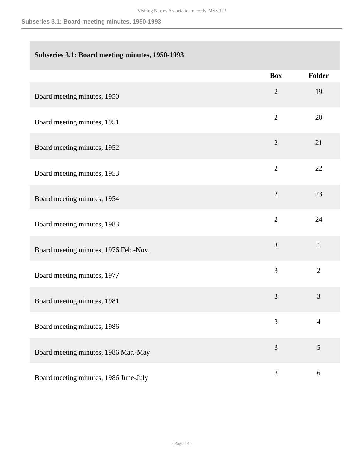### **Subseries 3.1: Board meeting minutes, 1950-1993**

|                                       | <b>Box</b>     | <b>Folder</b>  |
|---------------------------------------|----------------|----------------|
| Board meeting minutes, 1950           | $\mathfrak{2}$ | 19             |
| Board meeting minutes, 1951           | $\overline{2}$ | 20             |
| Board meeting minutes, 1952           | $\overline{2}$ | 21             |
| Board meeting minutes, 1953           | $\overline{2}$ | 22             |
| Board meeting minutes, 1954           | $\overline{2}$ | 23             |
| Board meeting minutes, 1983           | $\overline{2}$ | 24             |
| Board meeting minutes, 1976 Feb.-Nov. | 3              | $\mathbf{1}$   |
| Board meeting minutes, 1977           | $\overline{3}$ | $\overline{2}$ |
| Board meeting minutes, 1981           | 3              | 3              |
| Board meeting minutes, 1986           | 3              | $\overline{4}$ |
| Board meeting minutes, 1986 Mar.-May  | 3              | 5              |
| Board meeting minutes, 1986 June-July | 3              | $\sqrt{6}$     |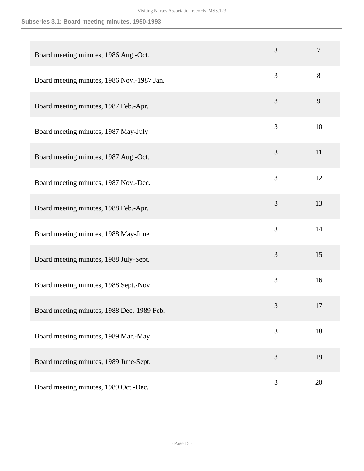### **Subseries 3.1: Board meeting minutes, 1950-1993**

| Board meeting minutes, 1986 Aug.-Oct.      | 3 | $\overline{7}$ |
|--------------------------------------------|---|----------------|
| Board meeting minutes, 1986 Nov.-1987 Jan. | 3 | 8              |
| Board meeting minutes, 1987 Feb.-Apr.      | 3 | 9              |
| Board meeting minutes, 1987 May-July       | 3 | 10             |
| Board meeting minutes, 1987 Aug.-Oct.      | 3 | 11             |
| Board meeting minutes, 1987 Nov.-Dec.      | 3 | 12             |
| Board meeting minutes, 1988 Feb.-Apr.      | 3 | 13             |
| Board meeting minutes, 1988 May-June       | 3 | 14             |
| Board meeting minutes, 1988 July-Sept.     | 3 | 15             |
| Board meeting minutes, 1988 Sept.-Nov.     | 3 | 16             |
| Board meeting minutes, 1988 Dec.-1989 Feb. | 3 | 17             |
| Board meeting minutes, 1989 Mar.-May       | 3 | 18             |
| Board meeting minutes, 1989 June-Sept.     | 3 | 19             |
| Board meeting minutes, 1989 Oct.-Dec.      | 3 | 20             |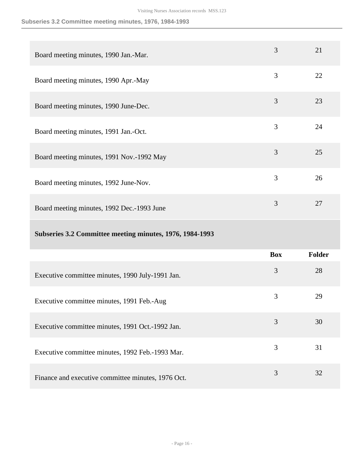### **Subseries 3.2 Committee meeting minutes, 1976, 1984-1993**

| Board meeting minutes, 1990 Jan.-Mar.      | 3 | 21 |
|--------------------------------------------|---|----|
| Board meeting minutes, 1990 Apr.-May       | 3 | 22 |
| Board meeting minutes, 1990 June-Dec.      | 3 | 23 |
| Board meeting minutes, 1991 Jan.-Oct.      | 3 | 24 |
| Board meeting minutes, 1991 Nov.-1992 May  | 3 | 25 |
| Board meeting minutes, 1992 June-Nov.      | 3 | 26 |
| Board meeting minutes, 1992 Dec.-1993 June | 3 | 27 |
|                                            |   |    |

### **Subseries 3.2 Committee meeting minutes, 1976, 1984-1993**

|                                                    | <b>Box</b> | <b>Folder</b> |
|----------------------------------------------------|------------|---------------|
| Executive committee minutes, 1990 July-1991 Jan.   | 3          | 28            |
| Executive committee minutes, 1991 Feb.-Aug         | 3          | 29            |
| Executive committee minutes, 1991 Oct.-1992 Jan.   | 3          | 30            |
| Executive committee minutes, 1992 Feb.-1993 Mar.   | 3          | 31            |
| Finance and executive committee minutes, 1976 Oct. | 3          | 32            |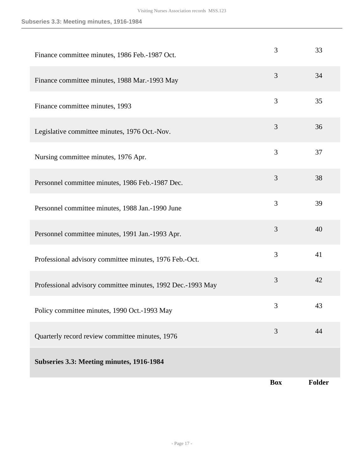### **Subseries 3.3: Meeting minutes, 1916-1984**

| Finance committee minutes, 1986 Feb.-1987 Oct.              | 3          | 33            |
|-------------------------------------------------------------|------------|---------------|
| Finance committee minutes, 1988 Mar.-1993 May               | 3          | 34            |
| Finance committee minutes, 1993                             | 3          | 35            |
| Legislative committee minutes, 1976 Oct.-Nov.               | 3          | 36            |
| Nursing committee minutes, 1976 Apr.                        | 3          | 37            |
| Personnel committee minutes, 1986 Feb.-1987 Dec.            | 3          | 38            |
| Personnel committee minutes, 1988 Jan.-1990 June            | 3          | 39            |
| Personnel committee minutes, 1991 Jan.-1993 Apr.            | 3          | 40            |
| Professional advisory committee minutes, 1976 Feb.-Oct.     | 3          | 41            |
| Professional advisory committee minutes, 1992 Dec.-1993 May | 3          | 42            |
| Policy committee minutes, 1990 Oct.-1993 May                | 3          | 43            |
| Quarterly record review committee minutes, 1976             | 3          | 44            |
| Subseries 3.3: Meeting minutes, 1916-1984                   |            |               |
|                                                             | <b>Box</b> | <b>Folder</b> |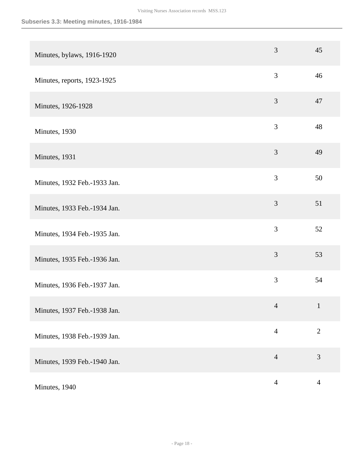| Minutes, bylaws, 1916-1920   | 3              | 45             |
|------------------------------|----------------|----------------|
| Minutes, reports, 1923-1925  | 3              | 46             |
| Minutes, 1926-1928           | 3              | 47             |
| Minutes, 1930                | 3              | 48             |
| Minutes, 1931                | 3              | 49             |
| Minutes, 1932 Feb.-1933 Jan. | 3              | 50             |
| Minutes, 1933 Feb.-1934 Jan. | 3              | 51             |
| Minutes, 1934 Feb.-1935 Jan. | 3              | 52             |
| Minutes, 1935 Feb.-1936 Jan. | 3              | 53             |
| Minutes, 1936 Feb.-1937 Jan. | 3              | 54             |
| Minutes, 1937 Feb.-1938 Jan. | $\overline{4}$ | $\mathbf{1}$   |
| Minutes, 1938 Feb.-1939 Jan. | $\overline{4}$ | $\overline{2}$ |
| Minutes, 1939 Feb.-1940 Jan. | $\overline{4}$ | 3              |
| Minutes, 1940                | $\overline{4}$ | $\overline{4}$ |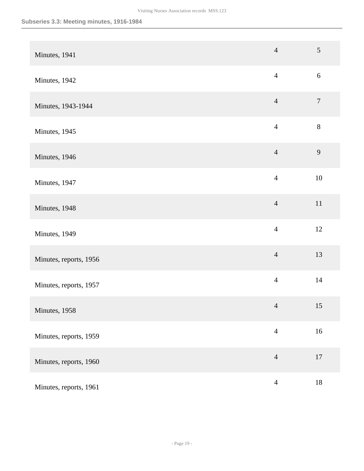| Minutes, 1941          | $\overline{4}$ | $\overline{5}$   |
|------------------------|----------------|------------------|
| Minutes, 1942          | $\overline{4}$ | $\boldsymbol{6}$ |
| Minutes, 1943-1944     | $\overline{4}$ | $\boldsymbol{7}$ |
| Minutes, 1945          | $\overline{4}$ | $8\,$            |
| Minutes, 1946          | $\overline{4}$ | 9                |
| Minutes, 1947          | $\overline{4}$ | $10\,$           |
| Minutes, 1948          | $\overline{4}$ | 11               |
| Minutes, 1949          | $\overline{4}$ | 12               |
| Minutes, reports, 1956 | $\overline{4}$ | 13               |
| Minutes, reports, 1957 | $\overline{4}$ | 14               |
| Minutes, 1958          | $\overline{4}$ | 15               |
| Minutes, reports, 1959 | $\overline{4}$ | $16\,$           |
| Minutes, reports, 1960 | $\overline{4}$ | 17               |
| Minutes, reports, 1961 | $\overline{4}$ | $18\,$           |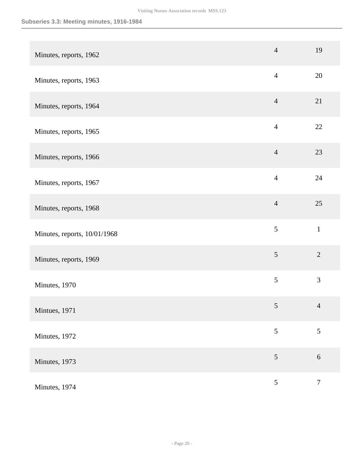### **Subseries 3.3: Meeting minutes, 1916-1984**

| Minutes, reports, 1962       | $\overline{4}$ | 19               |
|------------------------------|----------------|------------------|
| Minutes, reports, 1963       | $\overline{4}$ | 20               |
| Minutes, reports, 1964       | $\overline{4}$ | 21               |
| Minutes, reports, 1965       | $\overline{4}$ | $22\,$           |
| Minutes, reports, 1966       | $\overline{4}$ | 23               |
| Minutes, reports, 1967       | $\overline{4}$ | 24               |
| Minutes, reports, 1968       | $\overline{4}$ | 25               |
| Minutes, reports, 10/01/1968 | 5              | $\mathbf 1$      |
| Minutes, reports, 1969       | 5              | $\overline{2}$   |
| Minutes, 1970                | 5              | 3                |
| Mintues, 1971                | $\sqrt{5}$     | $\overline{4}$   |
| Minutes, 1972                | 5              | 5                |
| Minutes, 1973                | $\sqrt{5}$     | $\sqrt{6}$       |
| Minutes, 1974                | 5              | $\boldsymbol{7}$ |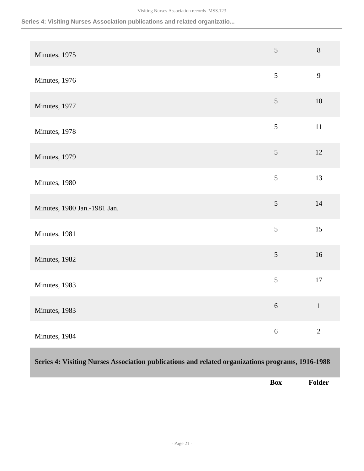### **Series 4: Visiting Nurses Association publications and related organizatio...**

| Minutes, 1975                | 5          | $\,8\,$        |
|------------------------------|------------|----------------|
| Minutes, 1976                | 5          | 9              |
| Minutes, 1977                | $\sqrt{5}$ | $10\,$         |
| Minutes, 1978                | 5          | 11             |
| Minutes, 1979                | $\sqrt{5}$ | 12             |
| Minutes, 1980                | 5          | 13             |
| Minutes, 1980 Jan.-1981 Jan. | $\sqrt{5}$ | 14             |
| Minutes, 1981                | 5          | 15             |
| Minutes, 1982                | 5          | 16             |
| Minutes, 1983                | 5          | 17             |
| Minutes, 1983                | $\sqrt{6}$ | $\,1\,$        |
| Minutes, 1984                | $\sqrt{6}$ | $\overline{2}$ |

### <span id="page-20-0"></span>**Series 4: Visiting Nurses Association publications and related organizations programs, 1916-1988**

**Box Folder**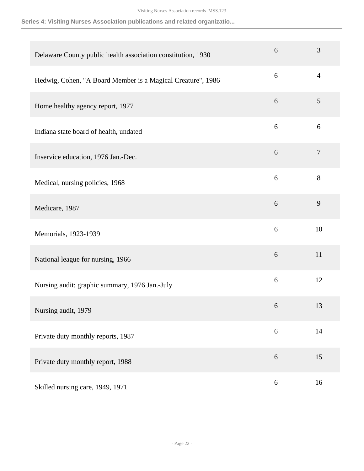**Series 4: Visiting Nurses Association publications and related organizatio...**

| Delaware County public health association constitution, 1930 | 6                | 3              |
|--------------------------------------------------------------|------------------|----------------|
| Hedwig, Cohen, "A Board Member is a Magical Creature", 1986  | 6                | $\overline{4}$ |
| Home healthy agency report, 1977                             | 6                | 5              |
| Indiana state board of health, undated                       | 6                | 6              |
| Inservice education, 1976 Jan.-Dec.                          | 6                | $\overline{7}$ |
| Medical, nursing policies, 1968                              | 6                | 8              |
| Medicare, 1987                                               | 6                | 9              |
| Memorials, 1923-1939                                         | 6                | 10             |
| National league for nursing, 1966                            | 6                | 11             |
| Nursing audit: graphic summary, 1976 Jan.-July               | 6                | 12             |
| Nursing audit, 1979                                          | 6                | 13             |
| Private duty monthly reports, 1987                           | $\boldsymbol{6}$ | 14             |
| Private duty monthly report, 1988                            | 6                | 15             |
| Skilled nursing care, 1949, 1971                             | 6                | 16             |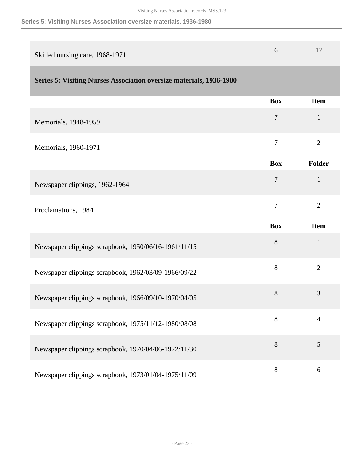### **Series 5: Visiting Nurses Association oversize materials, 1936-1980**

<span id="page-22-0"></span>

| Skilled nursing care, 1968-1971                                            | 6              | 17             |
|----------------------------------------------------------------------------|----------------|----------------|
| <b>Series 5: Visiting Nurses Association oversize materials, 1936-1980</b> |                |                |
|                                                                            | <b>Box</b>     | <b>Item</b>    |
| Memorials, 1948-1959                                                       | 7              | $\mathbf{1}$   |
| Memorials, 1960-1971                                                       | $\overline{7}$ | $\overline{2}$ |
|                                                                            | <b>Box</b>     | Folder         |
| Newspaper clippings, 1962-1964                                             | 7              | $\mathbf{1}$   |
| Proclamations, 1984                                                        | 7              | $\overline{2}$ |
|                                                                            | <b>Box</b>     | <b>Item</b>    |
| Newspaper clippings scrapbook, 1950/06/16-1961/11/15                       | 8              | $\mathbf{1}$   |
| Newspaper clippings scrapbook, 1962/03/09-1966/09/22                       | 8              | $\overline{2}$ |
| Newspaper clippings scrapbook, 1966/09/10-1970/04/05                       | 8              | 3              |
| Newspaper clippings scrapbook, 1975/11/12-1980/08/08                       | 8              | $\overline{4}$ |
| Newspaper clippings scrapbook, 1970/04/06-1972/11/30                       | $8\,$          | 5              |
| Newspaper clippings scrapbook, 1973/01/04-1975/11/09                       | 8              | 6              |